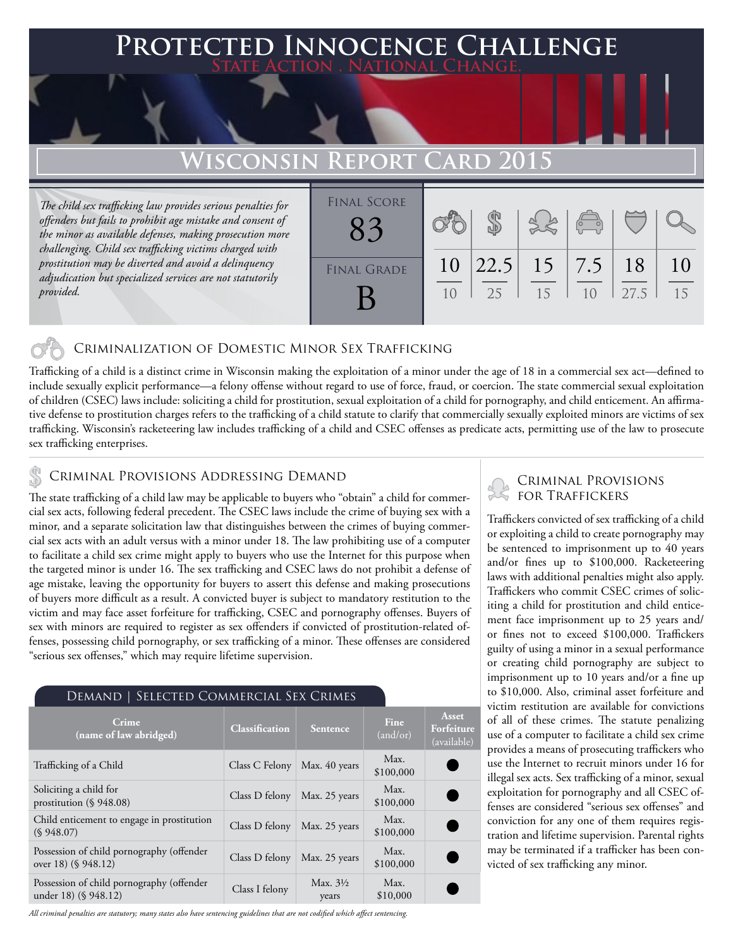# **Protected Innocence Challenge State Action . National Change.**

# **Wisconsin Report Card 2015**

*The child sex trafficking law provides serious penalties for offenders but fails to prohibit age mistake and consent of the minor as available defenses, making prosecution more challenging. Child sex trafficking victims charged with prostitution may be diverted and avoid a delinquency adjudication but specialized services are not statutorily provided.*

| <b>FINAL SCORE</b> |          |             |                     | $\begin{pmatrix} 0 & 0 \\ 0 & 0 \end{pmatrix}$ |            |          |
|--------------------|----------|-------------|---------------------|------------------------------------------------|------------|----------|
| <b>FINAL GRADE</b> | 10<br>10 | 22.5 <br>25 | $15 \mid 7.5$<br>15 | 10                                             | 18<br>27.5 | 10<br>15 |

### Criminalization of Domestic Minor Sex Trafficking

Trafficking of a child is a distinct crime in Wisconsin making the exploitation of a minor under the age of 18 in a commercial sex act—defined to include sexually explicit performance—a felony offense without regard to use of force, fraud, or coercion. The state commercial sexual exploitation of children (CSEC) laws include: soliciting a child for prostitution, sexual exploitation of a child for pornography, and child enticement. An affirmative defense to prostitution charges refers to the trafficking of a child statute to clarify that commercially sexually exploited minors are victims of sex trafficking. Wisconsin's racketeering law includes trafficking of a child and CSEC offenses as predicate acts, permitting use of the law to prosecute sex trafficking enterprises.

## CRIMINAL PROVISIONS ADDRESSING DEMAND

The state trafficking of a child law may be applicable to buyers who "obtain" a child for commercial sex acts, following federal precedent. The CSEC laws include the crime of buying sex with a minor, and a separate solicitation law that distinguishes between the crimes of buying commercial sex acts with an adult versus with a minor under 18. The law prohibiting use of a computer to facilitate a child sex crime might apply to buyers who use the Internet for this purpose when the targeted minor is under 16. The sex trafficking and CSEC laws do not prohibit a defense of age mistake, leaving the opportunity for buyers to assert this defense and making prosecutions of buyers more difficult as a result. A convicted buyer is subject to mandatory restitution to the victim and may face asset forfeiture for trafficking, CSEC and pornography offenses. Buyers of sex with minors are required to register as sex offenders if convicted of prostitution-related offenses, possessing child pornography, or sex trafficking of a minor. These offenses are considered "serious sex offenses," which may require lifetime supervision.

#### Demand | Selected Commercial Sex Crimes

| Crime<br>(name of law abridged)                                   | <b>Classification</b> | Sentence                     | Fine<br>(and/or)  | Asset<br>Forfeiture<br>(available) |
|-------------------------------------------------------------------|-----------------------|------------------------------|-------------------|------------------------------------|
| Trafficking of a Child                                            | Class C Felony        | Max. 40 years                | Max.<br>\$100,000 |                                    |
| Soliciting a child for<br>prostitution $(\S 948.08)$              | Class D felony        | Max. 25 years                | Max.<br>\$100,000 |                                    |
| Child enticement to engage in prostitution<br>(S.948.07)          | Class D felony        | Max. 25 years                | Max.<br>\$100,000 |                                    |
| Possession of child pornography (offender<br>over 18) (§ 948.12)  | Class D felony        | Max. 25 years                | Max.<br>\$100,000 |                                    |
| Possession of child pornography (offender<br>under 18) (§ 948.12) | Class I felony        | Max. $3\frac{1}{2}$<br>years | Max.<br>\$10,000  |                                    |

*All criminal penalties are statutory; many states also have sentencing guidelines that are not codified which affect sentencing.* 

### Criminal Provisions for Traffickers

Traffickers convicted of sex trafficking of a child or exploiting a child to create pornography may be sentenced to imprisonment up to 40 years and/or fines up to \$100,000. Racketeering laws with additional penalties might also apply. Traffickers who commit CSEC crimes of soliciting a child for prostitution and child enticement face imprisonment up to 25 years and/ or fines not to exceed \$100,000. Traffickers guilty of using a minor in a sexual performance or creating child pornography are subject to imprisonment up to 10 years and/or a fine up to \$10,000. Also, criminal asset forfeiture and victim restitution are available for convictions of all of these crimes. The statute penalizing use of a computer to facilitate a child sex crime provides a means of prosecuting traffickers who use the Internet to recruit minors under 16 for illegal sex acts. Sex trafficking of a minor, sexual exploitation for pornography and all CSEC offenses are considered "serious sex offenses" and conviction for any one of them requires registration and lifetime supervision. Parental rights may be terminated if a trafficker has been convicted of sex trafficking any minor.